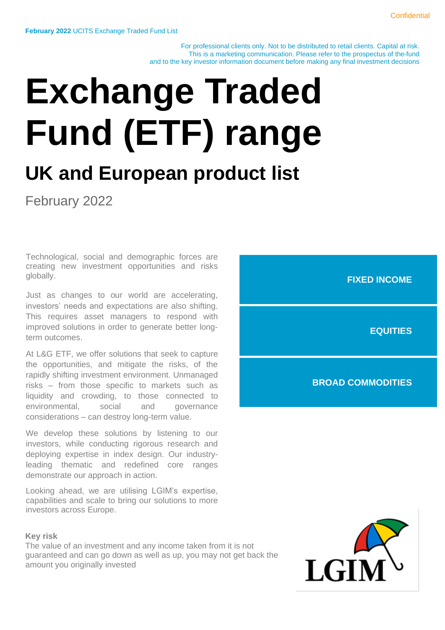For professional clients only. Not to be distributed to retail clients. Capital at risk. This is a marketing communication. Please refer to the prospectus of the fund and to the key investor information document before making any final investment decisions

# **Exchange Traded Fund (ETF) range**

### **UK and European product list**

February 2022

Technological, social and demographic forces are creating new investment opportunities and risks globally.

Just as changes to our world are accelerating, investors' needs and expectations are also shifting. This requires asset managers to respond with improved solutions in order to generate better longterm outcomes.

At L&G ETF, we offer solutions that seek to capture the opportunities, and mitigate the risks, of the rapidly shifting investment environment. Unmanaged risks – from those specific to markets such as liquidity and crowding, to those connected to environmental, social and governance considerations – can destroy long-term value.

We develop these solutions by listening to our investors, while conducting rigorous research and deploying expertise in index design. Our industryleading thematic and redefined core ranges demonstrate our approach in action.

Looking ahead, we are utilising LGIM's expertise, capabilities and scale to bring our solutions to more investors across Europe.

#### **Key risk**

The value of an investment and any income taken from it is not guaranteed and can go down as well as up, you may not get back the amount you originally invested



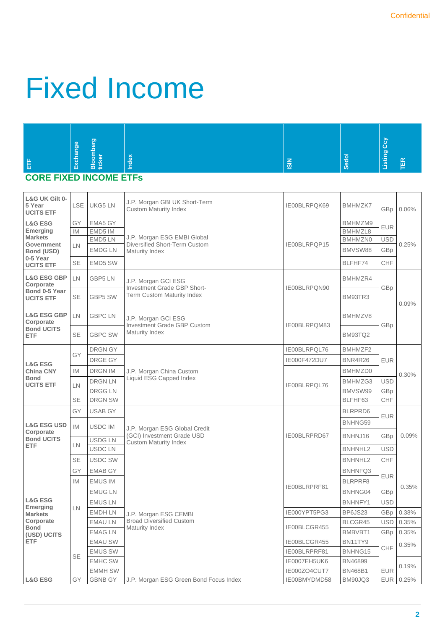### Fixed Income

| 은<br>Listing<br><u>jar</u><br>Sedol<br>xepr<br>ē<br>ă<br>Exch<br>岛<br>$\frac{2}{5}$<br>临<br>Blok<br>tick<br><u>=</u><br>_ | $\sigma$<br><b>lg</b><br>高 |  | <b>G</b> |  |
|---------------------------------------------------------------------------------------------------------------------------|----------------------------|--|----------|--|
|---------------------------------------------------------------------------------------------------------------------------|----------------------------|--|----------|--|

### **CORE FIXED INCOME ETFs**

| L&G UK Gilt 0-<br>5 Year<br><b>UCITS ETF</b> | LSE I          | UKG5 LN        | J.P. Morgan GBI UK Short-Term<br><b>Custom Maturity Index</b> | IE00BLRPQK69 | <b>BMHMZK7</b> | GBp        | 0.06% |
|----------------------------------------------|----------------|----------------|---------------------------------------------------------------|--------------|----------------|------------|-------|
| <b>L&amp;G ESG</b>                           | GY             | EMA5 GY        |                                                               |              | BMHMZM9        | <b>EUR</b> |       |
| <b>Emerging</b><br><b>Markets</b>            | IM.            | EMD5 IM        | J.P. Morgan ESG EMBI Global                                   |              | BMHMZL8        |            |       |
| Government                                   | LN             | EMD5 LN        | Diversified Short-Term Custom                                 | IE00BLRPQP15 | <b>BMHMZN0</b> | <b>USD</b> | 0.25% |
| Bond (USD)                                   |                | <b>EMDG LN</b> | Maturity Index                                                |              | BMVSW88        | GBp        |       |
| 0-5 Year<br><b>UCITS ETF</b>                 | <b>SE</b>      | EMD5 SW        |                                                               |              | BLFHF74        | CHF        |       |
| <b>L&amp;G ESG GBP</b><br>Corporate          | LN.<br>GBP5 LN |                | J.P. Morgan GCI ESG<br>Investment Grade GBP Short-            | IE00BLRPQN90 | BMHMZR4        | GBp        |       |
| Bond 0-5 Year<br><b>UCITS ETF</b>            | SE             | GBP5 SW        | <b>Term Custom Maturity Index</b>                             |              | BM93TR3        |            | 0.09% |
| <b>L&amp;G ESG GBP</b><br>Corporate          | LN.            | <b>GBPC LN</b> | J.P. Morgan GCI ESG<br>Investment Grade GBP Custom            | IE00BLRPQM83 | BMHMZV8        | GBp        |       |
| <b>Bond UCITS</b><br><b>ETF</b>              | <b>SE</b>      | <b>GBPC SW</b> | Maturity Index                                                |              | BM93TQ2        |            |       |
|                                              |                | <b>DRGN GY</b> |                                                               | IE00BLRPQL76 | BMHMZF2        |            |       |
| <b>L&amp;G ESG</b>                           | GY             | DRGE GY        |                                                               | IE000F472DU7 | <b>BNR4R26</b> | <b>EUR</b> |       |
| <b>China CNY</b>                             | IM.            | <b>DRGN IM</b> | J.P. Morgan China Custom                                      |              | BMHMZD0        |            | 0.30% |
| <b>Bond</b>                                  |                | DRGN LN        | Liquid ESG Capped Index                                       |              | BMHMZG3        | <b>USD</b> |       |
| <b>UCITS ETF</b>                             | LN.            | DRGG LN        |                                                               | IE00BLRPQL76 | BMVSW99        | GBp        |       |
|                                              | <b>SE</b>      | <b>DRGN SW</b> |                                                               |              | BLFHF63        | CHF        |       |
|                                              | GY             | <b>USAB GY</b> | J.P. Morgan ESG Global Credit                                 |              | BLRPRD6        | <b>EUR</b> |       |
| <b>L&amp;G ESG USD</b>                       | <b>IM</b>      | <b>USDC IM</b> |                                                               | IE00BLRPRD67 | BNHNG59        |            | 0.09% |
| Corporate<br><b>Bond UCITS</b>               |                | <b>USDG LN</b> | (GCI) Investment Grade USD                                    |              | BNHNJ16        | GBp        |       |
| <b>ETF</b>                                   | LN             | <b>USDCLN</b>  | <b>Custom Maturity Index</b>                                  |              | <b>BNHNHL2</b> | <b>USD</b> |       |
|                                              | <b>SE</b>      | <b>USDC SW</b> |                                                               |              | <b>BNHNHL2</b> | CHF        |       |
|                                              | GY             | <b>EMAB GY</b> |                                                               |              | BNHNFQ3        |            |       |
|                                              | <b>IM</b>      | <b>EMUS IM</b> |                                                               |              | BLRPRF8        | <b>EUR</b> |       |
|                                              |                | <b>EMUGLN</b>  |                                                               | IE00BLRPRF81 | BNHNG04        | GBp        | 0.35% |
| <b>L&amp;G ESG</b>                           |                | <b>EMUS LN</b> |                                                               |              | BNHNFY1        | <b>USD</b> |       |
| Emerging<br><b>Markets</b>                   | LN.            | <b>EMDH LN</b> | J.P. Morgan ESG CEMBI                                         | IE000YPT5PG3 | BP6JS23        | GBp        | 0.38% |
| Corporate                                    |                | <b>EMAU LN</b> | <b>Broad Diversified Custom</b>                               |              | BLCGR45        | <b>USD</b> | 0.35% |
| <b>Bond</b><br>(USD) UCITS                   |                | <b>EMAG LN</b> | Maturity Index                                                | IE00BLCGR455 | BMBVBT1        | GBp        | 0.35% |
| ETF                                          |                | <b>EMAU SW</b> |                                                               | IE00BLCGR455 | BN11TY9        |            | 0.35% |
|                                              | SE             | <b>EMUS SW</b> |                                                               | IE00BLRPRF81 | BNHNG15        | CHF        |       |
|                                              |                | <b>EMHC SW</b> |                                                               | IE0007EH5UK6 | BN46899        |            | 0.19% |
|                                              |                | <b>EMMH SW</b> |                                                               | IE000ZO4CUT7 | <b>BN468B1</b> | <b>EUR</b> |       |
| <b>L&amp;G ESG</b>                           | GY             | <b>GBNB GY</b> | J.P. Morgan ESG Green Bond Focus Index                        | IE00BMYDMD58 | BM90JQ3        | EUR        | 0.25% |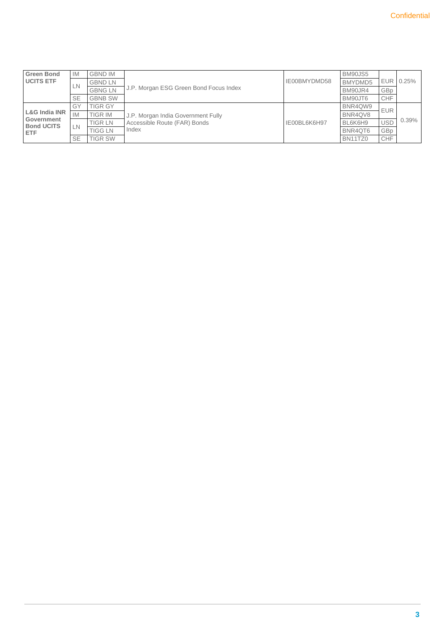| <b>Green Bond</b><br><b>IM</b>                                 |           | <b>GBND IM</b>        |                                        |              | BM90JS5 |            |          |
|----------------------------------------------------------------|-----------|-----------------------|----------------------------------------|--------------|---------|------------|----------|
| <b>UCITS ETF</b>                                               |           | <b>GBND LN</b>        |                                        | IE00BMYDMD58 | BMYDMD5 | <b>EUR</b> | 0.25%    |
|                                                                | LN.       | <b>GBNG LN</b>        | J.P. Morgan ESG Green Bond Focus Index |              | BM90JR4 | GBp        |          |
|                                                                | <b>SE</b> | <b>GBNB SW</b>        |                                        |              | BM90JT6 | <b>CHF</b> |          |
| L&G India INR<br>Government<br><b>Bond UCITS</b><br><b>ETF</b> | GY        | <b>TIGR GY</b>        |                                        |              | BNR4QW9 | <b>EUR</b> |          |
|                                                                | <b>IM</b> | <b>TIGR IM</b>        | J.P. Morgan India Government Fully     |              | BNR4QV8 |            |          |
|                                                                |           | <b>TIGR LN</b>        | Accessible Route (FAR) Bonds           | IE00BL6K6H97 | BL6K6H9 | <b>USD</b> | $0.39\%$ |
|                                                                |           | LN.<br><b>TIGG LN</b> | Index                                  |              | BNR4QT6 | GBp        |          |
|                                                                | <b>SE</b> | <b>TIGR SW</b>        |                                        |              | BN11TZ0 | <b>CHF</b> |          |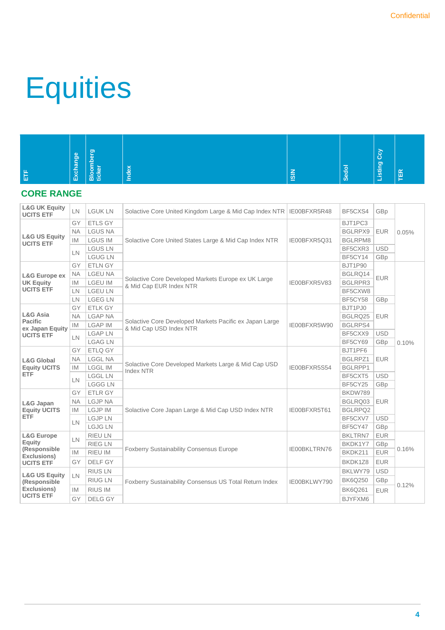## **Equities**

| e | l al<br>Exchan | <b>herg</b>     |        | ≂ | <b>Sedol</b> | R<br>ூ<br>istir |   |
|---|----------------|-----------------|--------|---|--------------|-----------------|---|
| ш |                | Bloon<br>ticker | ₫<br>∸ | 圆 |              | -               | E |

### **CORE RANGE**

| <b>L&amp;G UK Equity</b><br><b>UCITS ETF</b> | LN        | <b>LGUK LN</b> | Solactive Core United Kingdom Large & Mid Cap Index NTR                                            | IE00BFXR5R48                            | BF5CXS4        | GBp        |       |
|----------------------------------------------|-----------|----------------|----------------------------------------------------------------------------------------------------|-----------------------------------------|----------------|------------|-------|
|                                              | GY        | <b>ETLS GY</b> |                                                                                                    |                                         | BJT1PC3        |            |       |
|                                              | <b>NA</b> | <b>LGUS NA</b> |                                                                                                    |                                         | BGLRPX9        | <b>EUR</b> | 0.05% |
| <b>L&amp;G US Equity</b><br><b>UCITS ETF</b> | <b>IM</b> | <b>LGUS IM</b> | Solactive Core United States Large & Mid Cap Index NTR                                             | IE00BFXR5Q31                            | BGLRPM8        |            |       |
|                                              | LN        | <b>LGUS LN</b> |                                                                                                    |                                         | BF5CXR3        | <b>USD</b> |       |
|                                              |           | <b>LGUG LN</b> |                                                                                                    |                                         | BF5CY14        | GBp        |       |
|                                              | GY        | <b>ETLN GY</b> |                                                                                                    |                                         | <b>BJT1P90</b> |            |       |
| <b>L&amp;G Europe ex</b>                     | <b>NA</b> | <b>LGEU NA</b> |                                                                                                    |                                         | BGLRQ14        | <b>EUR</b> |       |
| <b>UK Equity</b><br><b>IM</b>                |           | <b>LGEU IM</b> | Solactive Core Developed Markets Europe ex UK Large                                                | IE00BFXR5V83<br>& Mid Cap EUR Index NTR | BGLRPR3        |            |       |
| <b>UCITS ETF</b>                             | LN        | <b>LGEU LN</b> |                                                                                                    |                                         | BF5CXW8        |            |       |
|                                              | LN        | <b>LGEG LN</b> |                                                                                                    | BF5CY58                                 | GBp            |            |       |
|                                              | GY        | <b>ETLK GY</b> |                                                                                                    |                                         | BJT1PJ0        |            |       |
| <b>L&amp;G Asia</b><br>Pacific               | <b>NA</b> | <b>LGAP NA</b> |                                                                                                    |                                         | BGLRQ25        | <b>EUR</b> |       |
| ex Japan Equity                              | IM.       | <b>LGAP IM</b> | Solactive Core Developed Markets Pacific ex Japan Large<br>IE00BFXR5W90<br>& Mid Cap USD Index NTR | <b>BGLRPS4</b>                          |                |            |       |
| <b>UCITS ETF</b>                             | LN        | <b>LGAP LN</b> |                                                                                                    |                                         | BF5CXX9        | <b>USD</b> |       |
|                                              |           | <b>LGAG LN</b> |                                                                                                    |                                         | BF5CY69        | GBp        | 0.10% |
|                                              | GY        | ETLQ GY        |                                                                                                    |                                         | BJT1PF6        |            |       |
| <b>L&amp;G Global</b>                        | <b>NA</b> | <b>LGGL NA</b> | Solactive Core Developed Markets Large & Mid Cap USD<br>IE00BFXR5S54<br>Index NTR                  | BGLRPZ1                                 | <b>EUR</b>     |            |       |
| <b>Equity UCITS</b>                          | IM        | <b>LGGL IM</b> |                                                                                                    | BGLRPP1                                 |                |            |       |
| <b>ETF</b>                                   | LN        | <b>LGGL LN</b> |                                                                                                    |                                         | BF5CXT5        | <b>USD</b> |       |
|                                              |           | <b>LGGG LN</b> |                                                                                                    |                                         | BF5CY25        | GBp        |       |
|                                              | GY        | <b>ETLR GY</b> |                                                                                                    |                                         | BKDW789        |            |       |
| L&G Japan                                    | <b>NA</b> | <b>LGJP NA</b> |                                                                                                    |                                         | BGLRQ03        | <b>EUR</b> |       |
| <b>Equity UCITS</b>                          | IM        | <b>LGJP IM</b> | Solactive Core Japan Large & Mid Cap USD Index NTR                                                 | IE00BFXR5T61                            | BGLRPQ2        |            |       |
| <b>ETF</b>                                   | LN        | <b>LGJPLN</b>  |                                                                                                    |                                         | BF5CXV7        | <b>USD</b> |       |
|                                              |           | <b>LGJG LN</b> |                                                                                                    |                                         | BF5CY47        | GBp        |       |
| <b>L&amp;G Europe</b>                        | LN        | <b>RIEU LN</b> |                                                                                                    |                                         | <b>BKLTRN7</b> | <b>EUR</b> |       |
| Equity<br>(Responsible                       |           | <b>RIEG LN</b> | <b>Foxberry Sustainability Consensus Europe</b>                                                    | IE00BKLTRN76                            | BKDK1Y7        | GBp        | 0.16% |
| Exclusions)                                  | <b>IM</b> | RIEU IM        |                                                                                                    |                                         | BKDK211        | <b>EUR</b> |       |
| <b>UCITS ETF</b>                             | GY        | DELF GY        |                                                                                                    |                                         | BKDK1Z8        | <b>EUR</b> |       |
| <b>L&amp;G US Equity</b>                     | <b>LN</b> | <b>RIUS LN</b> |                                                                                                    |                                         | BKLWY79        | <b>USD</b> |       |
| (Responsible                                 |           | <b>RIUG LN</b> | Foxberry Sustainability Consensus US Total Return Index                                            | IE00BKLWY790                            | <b>BK6Q250</b> | GBp        |       |
| Exclusions)                                  | IM.       | <b>RIUS IM</b> |                                                                                                    |                                         | <b>BK6Q261</b> | <b>EUR</b> | 0.12% |
| <b>UCITS ETF</b>                             | GY        | <b>DELG GY</b> |                                                                                                    |                                         | BJYFXM6        |            |       |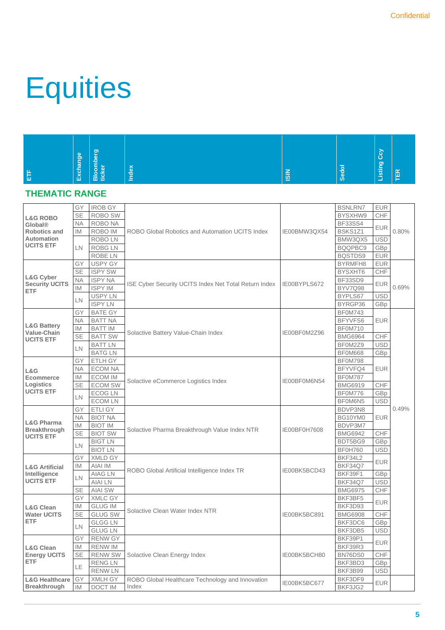## **Equities**

|              | <b>lge</b> | o.<br>-<br>₩         |          |                    |              | ြိ              |        |
|--------------|------------|----------------------|----------|--------------------|--------------|-----------------|--------|
| ய<br>▝▀<br>Ш | èς<br>Exch | −<br>Bloon<br>ticker | ebr<br>∸ | -<br>$\frac{5}{2}$ | <b>Sedol</b> | ு<br>istir<br>- | $\sim$ |

### **THEMATIC RANGE**

|                                  | GY        | <b>IROB GY</b> |                                                              |                | <b>BSNLRN7</b> | <b>EUR</b> |       |
|----------------------------------|-----------|----------------|--------------------------------------------------------------|----------------|----------------|------------|-------|
| <b>L&amp;G ROBO</b>              | <b>SE</b> | <b>ROBO SW</b> |                                                              |                | BYSXHW9        | CHF        |       |
| Global®                          | <b>NA</b> | ROBO NA        |                                                              |                | <b>BF33SS4</b> |            |       |
| <b>Robotics and</b>              | <b>IM</b> | ROBO IM        | ROBO Global Robotics and Automation UCITS Index              | IE00BMW3QX54   | BSKS1Z1        | <b>EUR</b> | 0.80% |
| Automation                       |           | <b>ROBOLN</b>  |                                                              |                | BMW3QX5        | <b>USD</b> |       |
| <b>UCITS ETF</b>                 | LN        | <b>ROBG LN</b> |                                                              |                | BQQPBC9        | GBp        |       |
|                                  |           | <b>ROBE LN</b> |                                                              |                | BQSTDS9        | <b>EUR</b> |       |
|                                  | GY        | <b>USPY GY</b> |                                                              |                | BYRMFH8        | <b>EUR</b> |       |
|                                  | <b>SE</b> | <b>ISPY SW</b> |                                                              |                | BYSXHT6        | CHF        |       |
| L&G Cyber                        | <b>NA</b> | <b>ISPY NA</b> |                                                              |                | BF33SD9        |            |       |
| <b>Security UCITS</b>            | <b>IM</b> | <b>ISPY IM</b> | <b>ISE Cyber Security UCITS Index Net Total Return Index</b> | IE00BYPLS672   | BYV7Q98        | <b>EUR</b> | 0.69% |
| <b>ETF</b>                       |           |                |                                                              |                |                |            |       |
|                                  | LN        | <b>USPY LN</b> |                                                              |                | BYPLS67        | <b>USD</b> |       |
|                                  |           | <b>ISPY LN</b> |                                                              |                | BYRGP36        | GBp        |       |
|                                  | GY        | <b>BATE GY</b> |                                                              |                | <b>BF0M743</b> |            |       |
| <b>L&amp;G Battery</b>           | <b>NA</b> | <b>BATT NA</b> |                                                              |                | BFYVFS6        | <b>EUR</b> |       |
| Value-Chain                      | IM        | <b>BATT IM</b> | Solactive Battery Value-Chain Index                          | IE00BF0M2Z96   | BF0M710        |            |       |
| <b>UCITS ETF</b>                 | SE        | <b>BATT SW</b> |                                                              |                | <b>BMG6964</b> | CHF        |       |
|                                  | LN        | <b>BATT LN</b> |                                                              |                | BF0M2Z9        | <b>USD</b> |       |
|                                  |           | <b>BATGLN</b>  |                                                              |                | <b>BF0M668</b> | GBp        |       |
|                                  | GY        | <b>ETLH GY</b> |                                                              |                | BF0M798        |            |       |
| L&G                              | <b>NA</b> | <b>ECOM NA</b> |                                                              |                | BFYVFQ4        | <b>EUR</b> |       |
| <b>Ecommerce</b>                 | <b>IM</b> | <b>ECOM IM</b> | Solactive eCommerce Logistics Index<br>IE00BF0M6N54          |                | <b>BF0M787</b> |            |       |
| Logistics                        | <b>SE</b> | <b>ECOM SW</b> |                                                              | <b>BMG6919</b> | CHF            |            |       |
| <b>UCITS ETF</b>                 |           | <b>ECOG LN</b> |                                                              |                | BF0M776        | GBp        |       |
|                                  | LN        | <b>ECOM LN</b> |                                                              |                | BF0M6N5        | <b>USD</b> |       |
|                                  | GY        | <b>ETLI GY</b> |                                                              | BDVP3N8        |                | 0.49%      |       |
|                                  | <b>NA</b> | <b>BIOT NA</b> |                                                              | BG10YM0        | <b>EUR</b>     |            |       |
| <b>L&amp;G Pharma</b>            | IM        | <b>BIOT IM</b> |                                                              |                | BDVP3M7        |            |       |
| Breakthrough                     | <b>SE</b> | <b>BIOT SW</b> | Solactive Pharma Breakthrough Value Index NTR                | IE00BF0H7608   | <b>BMG6942</b> | CHF        |       |
| <b>UCITS ETF</b>                 |           | <b>BIGT LN</b> |                                                              |                | BDT5BG9        | GBp        |       |
|                                  | LN        | <b>BIOT LN</b> |                                                              |                | <b>BF0H760</b> | <b>USD</b> |       |
|                                  | GY        | <b>XMLD GY</b> |                                                              |                | BKF34L2        |            |       |
|                                  |           |                |                                                              |                |                | <b>EUR</b> |       |
| <b>L&amp;G Artificial</b>        | <b>IM</b> | AIAI IM        | ROBO Global Artificial Intelligence Index TR                 | IE00BK5BCD43   | <b>BKF34Q7</b> |            |       |
| Intelligence<br><b>UCITS ETF</b> | LN        | <b>AIAG LN</b> |                                                              |                | BKF39F1        | GBp        |       |
|                                  |           | <b>AIAI LN</b> |                                                              |                | BKF34Q7        | <b>USD</b> |       |
|                                  | <b>SE</b> | <b>AIAI SW</b> |                                                              |                | <b>BMG6975</b> | CHF        |       |
|                                  | GY        | XMLC GY        |                                                              |                | BKF3BF5        | <b>EUR</b> |       |
| <b>L&amp;G Clean</b>             | IM        | <b>GLUG IM</b> | Solactive Clean Water Index NTR                              |                | BKF3D93        |            |       |
| <b>Water UCITS</b>               | <b>SE</b> | <b>GLUG SW</b> |                                                              | IE00BK5BC891   | <b>BMG6908</b> | CHF        |       |
| <b>ETF</b>                       | LN        | <b>GLGG LN</b> |                                                              |                | BKF3DC6        | GBp        |       |
|                                  |           | <b>GLUG LN</b> |                                                              |                | BKF3DB5        | <b>USD</b> |       |
|                                  | GY        | <b>RENW GY</b> |                                                              |                | BKF39P1        |            |       |
| <b>L&amp;G Clean</b>             | IM        | <b>RENW IM</b> |                                                              |                | BKF39R3        | <b>EUR</b> |       |
| <b>Energy UCITS</b>              | <b>SE</b> | <b>RENW SW</b> | Solactive Clean Energy Index                                 | IE00BK5BCH80   | BN76DS0        | CHF        |       |
| <b>ETF</b>                       |           | <b>RENGLN</b>  |                                                              |                | BKF3BD3        | GBp        |       |
|                                  | LE        | <b>RENW LN</b> |                                                              |                | BKF3B99        | <b>USD</b> |       |
| <b>L&amp;G Healthcare</b>        | GY        | <b>XMLH GY</b> | ROBO Global Healthcare Technology and Innovation             |                | BKF3DF9        |            |       |
| <b>Breakthrough</b>              | <b>IM</b> | <b>DOCT IM</b> | Index                                                        | IE00BK5BC677   | BKF3JG2        | <b>EUR</b> |       |
|                                  |           |                |                                                              |                |                |            |       |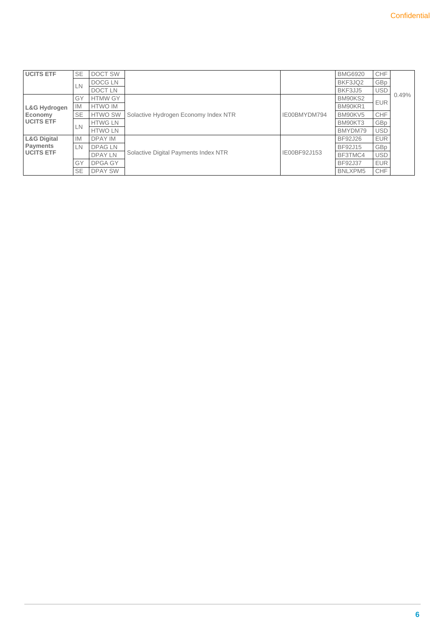| <b>UCITS ETF</b>                            | <b>SE</b>              | DOCT SW        |                                      |              | <b>BMG6920</b> | CHF        |       |
|---------------------------------------------|------------------------|----------------|--------------------------------------|--------------|----------------|------------|-------|
|                                             | LN                     | <b>DOCGLN</b>  |                                      |              | BKF3JQ2        | GBp        |       |
|                                             |                        | <b>DOCTLN</b>  |                                      |              | BKF3JJ5        | <b>USD</b> |       |
|                                             | GY                     | <b>HTMW GY</b> |                                      |              | BM90KS2        | <b>EUR</b> | 0.49% |
| L&G Hydrogen<br>Economy<br><b>UCITS ETF</b> | <b>IM</b>              | <b>HTWO IM</b> |                                      | IE00BMYDM794 | BM90KR1        |            |       |
|                                             | <b>SE</b>              | <b>HTWO SW</b> | Solactive Hydrogen Economy Index NTR |              | BM90KV5        | <b>CHF</b> |       |
|                                             |                        | <b>HTWG LN</b> |                                      |              | BM90KT3        | GBp        |       |
|                                             | LN                     | <b>HTWO LN</b> |                                      |              | BMYDM79        | <b>USD</b> |       |
| <b>L&amp;G Digital</b>                      | <b>IM</b>              | <b>DPAY IM</b> |                                      |              | <b>BF92J26</b> | <b>EUR</b> |       |
| <b>Payments</b>                             | LN                     | <b>DPAGLN</b>  |                                      |              | BF92J15        | GBp        |       |
|                                             | <b>UCITS ETF</b><br>GY | <b>DPAY LN</b> | Solactive Digital Payments Index NTR | IE00BF92J153 | BF3TMC4        | <b>USD</b> |       |
|                                             |                        | <b>DPGA GY</b> |                                      |              | BF92J37        | <b>EUR</b> |       |
|                                             | <b>SE</b>              | <b>DPAY SW</b> |                                      |              | BNLXPM5        | CHF        |       |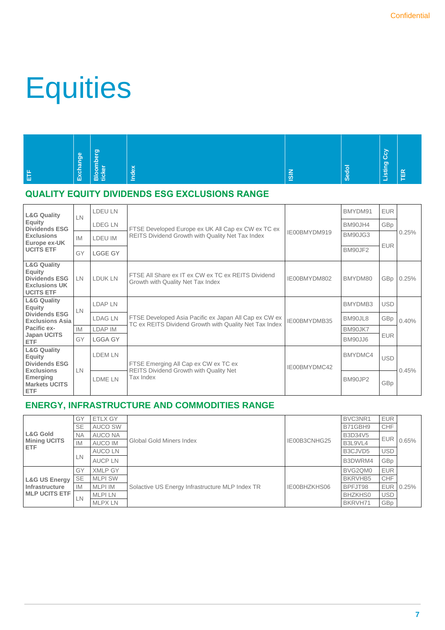### **Equities**

|   | ge     | ಠಾ<br>е         | محاد<br>æ          |               | _<br>÷ | ပြ<br>ு |  |
|---|--------|-----------------|--------------------|---------------|--------|---------|--|
| ш | Exchan | Bloon<br>ticker | $\frac{e}{2}$<br>⋍ | $\frac{2}{5}$ | ທ      | istir   |  |

### **QUALITY EQUITY DIVIDENDS ESG EXCLUSIONS RANGE**

| <b>L&amp;G Quality</b>                                                                                                                 | LN        | LDEU LN                                                               |                                                                                         |              | BMYDM91 | <b>EUR</b> |       |
|----------------------------------------------------------------------------------------------------------------------------------------|-----------|-----------------------------------------------------------------------|-----------------------------------------------------------------------------------------|--------------|---------|------------|-------|
| Equity<br><b>Dividends ESG</b>                                                                                                         |           | <b>LDEG LN</b>                                                        | FTSE Developed Europe ex UK All Cap ex CW ex TC ex                                      |              | BM90JH4 | GBp        |       |
| <b>Exclusions</b><br>Europe ex-UK                                                                                                      | <b>IM</b> | LDEU IM                                                               | REITS Dividend Growth with Quality Net Tax Index                                        | IE00BMYDM919 | BM90JG3 |            | 0.25% |
| <b>UCITS ETF</b>                                                                                                                       | GY        | <b>LGGE GY</b>                                                        |                                                                                         |              | BM90JF2 | <b>EUR</b> |       |
| <b>L&amp;G Quality</b><br>Equity<br><b>Dividends ESG</b><br><b>Exclusions UK</b><br><b>UCITS ETF</b>                                   | LN        | LDUK LN                                                               | FTSE All Share ex IT ex CW ex TC ex REITS Dividend<br>Growth with Quality Net Tax Index | IE00BMYDM802 | BMYDM80 | GBp        | 0.25% |
| <b>L&amp;G Quality</b><br>Equity                                                                                                       | LN        | <b>LDAP LN</b>                                                        |                                                                                         |              | BMYDMB3 | <b>USD</b> | 0.40% |
| <b>Dividends ESG</b><br><b>Exclusions Asia</b>                                                                                         |           | <b>LDAG LN</b>                                                        | FTSE Developed Asia Pacific ex Japan All Cap ex CW ex                                   | IE00BMYDMB35 | BM90JL8 | GBp        |       |
| Pacific ex-                                                                                                                            | IM        | <b>LDAP IM</b>                                                        | TC ex REITS Dividend Growth with Quality Net Tax Index                                  |              | BM90JK7 |            |       |
| Japan UCITS<br><b>ETF</b>                                                                                                              | GY        | <b>LGGA GY</b>                                                        |                                                                                         |              | BM90JJ6 | <b>EUR</b> |       |
| <b>L&amp;G Quality</b><br>Equity<br><b>Dividends ESG</b><br><b>Exclusions</b><br><b>Emerging</b><br><b>Markets UCITS</b><br><b>ETF</b> |           | LDEM LN                                                               | FTSE Emerging All Cap ex CW ex TC ex                                                    | IE00BMYDMC42 | BMYDMC4 | <b>USD</b> |       |
|                                                                                                                                        | LN        | <b>REITS Dividend Growth with Quality Net</b><br>Tax Index<br>LDME LN |                                                                                         | BM90JP2      | GBp     | 0.45%      |       |

### **ENERGY, INFRASTRUCTURE AND COMMODITIES RANGE**

|                                                          | GY        | <b>ETLX GY</b> |                                                 |              | BVC3NR1        | <b>EUR</b> |       |
|----------------------------------------------------------|-----------|----------------|-------------------------------------------------|--------------|----------------|------------|-------|
| <b>L&amp;G Gold</b><br><b>Mining UCITS</b><br><b>ETF</b> | <b>SE</b> | <b>AUCO SW</b> |                                                 |              | B71GBH9        | CHF        |       |
|                                                          | <b>NA</b> | AUCO NA        |                                                 |              | <b>B3D34V5</b> | <b>EUR</b> |       |
|                                                          | <b>IM</b> | <b>AUCO IM</b> | <b>Global Gold Miners Index</b>                 | IE00B3CNHG25 | B3L9VL4        |            | 0.65% |
|                                                          |           | <b>AUCO LN</b> |                                                 |              | B3CJVD5        | <b>USD</b> |       |
|                                                          | LN        | <b>AUCPLN</b>  |                                                 |              | B3DWRM4        | GBp        |       |
|                                                          | GY        | <b>XMLP GY</b> |                                                 |              | BVG2QM0        | <b>EUR</b> | 0.25% |
| <b>L&amp;G US Energy</b>                                 | <b>SE</b> | <b>MLPI SW</b> |                                                 |              | BKRVHB5        | CHF        |       |
| Infrastructure<br><b>IMLP UCITS ETF</b>                  | <b>IM</b> | <b>MLPI IM</b> | Solactive US Energy Infrastructure MLP Index TR | IE00BHZKHS06 | BPFJT98        | <b>EUR</b> |       |
|                                                          | LN        | <b>MLPILN</b>  |                                                 |              | <b>BHZKHS0</b> | <b>USD</b> |       |
|                                                          |           | <b>MLPX LN</b> |                                                 |              | BKRVH71        | GBp        |       |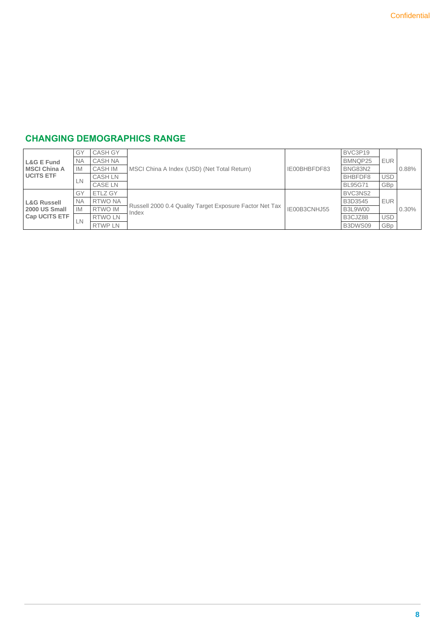### **CHANGING DEMOGRAPHICS RANGE**

|                                                        | GY        | <b>CASH GY</b> |                                                                  |              | BVC3P19        |            |       |
|--------------------------------------------------------|-----------|----------------|------------------------------------------------------------------|--------------|----------------|------------|-------|
| L&G E Fund<br><b>IMSCI China A</b><br><b>UCITS ETF</b> | <b>NA</b> | <b>CASH NA</b> |                                                                  |              | BMNQP25        | <b>EUR</b> |       |
|                                                        | <b>IM</b> | <b>CASH IM</b> | MSCI China A Index (USD) (Net Total Return)                      | IE00BHBFDF83 | BNG83N2        |            | 0.88% |
|                                                        | LN        | <b>CASH LN</b> |                                                                  |              | BHBFDF8        | <b>USD</b> |       |
|                                                        |           | <b>CASE LN</b> |                                                                  |              | <b>BL95G71</b> | GBp        |       |
|                                                        | GY        | ETLZ GY        |                                                                  |              | BVC3NS2        |            |       |
| <b>L&amp;G Russell</b>                                 | <b>NA</b> | RTWO NA        |                                                                  |              | B3D3545        | <b>EUR</b> |       |
| 2000 US Small                                          | <b>IM</b> | <b>RTWO IM</b> | Russell 2000 0.4 Quality Target Exposure Factor Net Tax<br>Index | IE00B3CNHJ55 | B3L9W00        |            | 0.30% |
| <b>Cap UCITS ETF</b>                                   | LN        | <b>RTWO LN</b> |                                                                  |              | B3CJZ88        | <b>USD</b> |       |
|                                                        |           | <b>RTWP LN</b> |                                                                  |              | B3DWS09        | GBp        |       |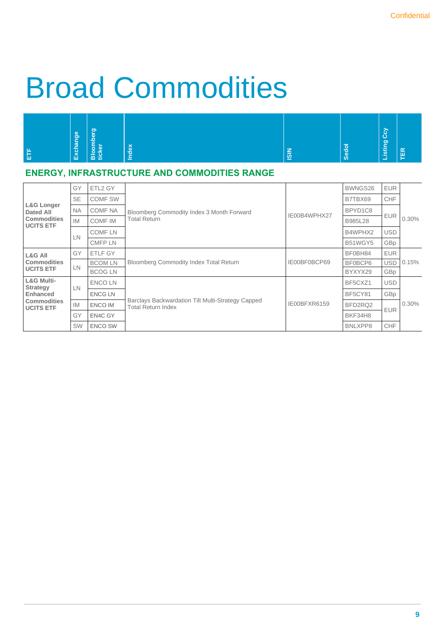### Broad Commodities

|         | <b>l</b><br>Bl<br>igi | ಾ<br>-<br>⋍<br>≍<br>$\overline{a}$<br>м | 45            | -             | ≂         | <b>G</b><br>ஜ     | $\alpha$ |
|---------|-----------------------|-----------------------------------------|---------------|---------------|-----------|-------------------|----------|
| ய<br>ŢШ | Exch                  | <u>ŏ</u><br>tick<br>ന                   | ğ<br><u>=</u> | $\frac{1}{2}$ | <b>SC</b> | <b>istir</b><br>÷ | π<br>_   |

### **ENERGY, INFRASTRUCTURE AND COMMODITIES RANGE**

| <b>L&amp;G Longer</b><br><b>Dated All</b><br><b>Commodities</b><br><b>UCITS ETF</b>                   | GY        | ETL2 GY        |                                                                                | IE00B4WPHX27 | BWNGS26 | <b>EUR</b> | 0.30% |
|-------------------------------------------------------------------------------------------------------|-----------|----------------|--------------------------------------------------------------------------------|--------------|---------|------------|-------|
|                                                                                                       | <b>SE</b> | COMF SW        | Bloomberg Commodity Index 3 Month Forward                                      |              | B7TBX69 | <b>CHF</b> |       |
|                                                                                                       | <b>NA</b> | <b>COMF NA</b> |                                                                                |              | BPYD1C8 | <b>EUR</b> |       |
|                                                                                                       | <b>IM</b> | <b>COMF IM</b> | Total Return                                                                   |              | B985L28 |            |       |
|                                                                                                       | LN        | <b>COMF LN</b> |                                                                                |              | B4WPHX2 | <b>USD</b> |       |
|                                                                                                       |           | <b>CMFPLN</b>  |                                                                                |              | B51WGY5 | GBp        |       |
| <b>L&amp;G All</b><br><b>Commodities</b><br><b>UCITS ETF</b>                                          | GY        | ETLF GY        |                                                                                |              | BF0BH84 | <b>EUR</b> | 0.15% |
|                                                                                                       | <b>LN</b> | <b>BCOM LN</b> | <b>Bloomberg Commodity Index Total Return</b>                                  | IE00BF0BCP69 | BF0BCP6 | <b>USD</b> |       |
|                                                                                                       |           | <b>BCOG LN</b> |                                                                                |              | BYXYX29 | GBp        |       |
| <b>L&amp;G Multi-</b><br><b>Strategy</b><br><b>Enhanced</b><br><b>Commodities</b><br><b>UCITS ETF</b> | LN        | <b>ENCOLN</b>  | Barclays Backwardation Tilt Multi-Strategy Capped<br><b>Total Return Index</b> | IE00BFXR6159 | BF5CXZ1 | <b>USD</b> | 0.30% |
|                                                                                                       |           | <b>ENCG LN</b> |                                                                                |              | BF5CY81 | GBp        |       |
|                                                                                                       | <b>IM</b> | <b>ENCO IM</b> |                                                                                |              | BFD2RQ2 | <b>EUR</b> |       |
|                                                                                                       | GY        | EN4C GY        |                                                                                |              | BKF34H8 |            |       |
|                                                                                                       | SW        | <b>ENCO SW</b> |                                                                                |              | BNLXPP8 | CHF        |       |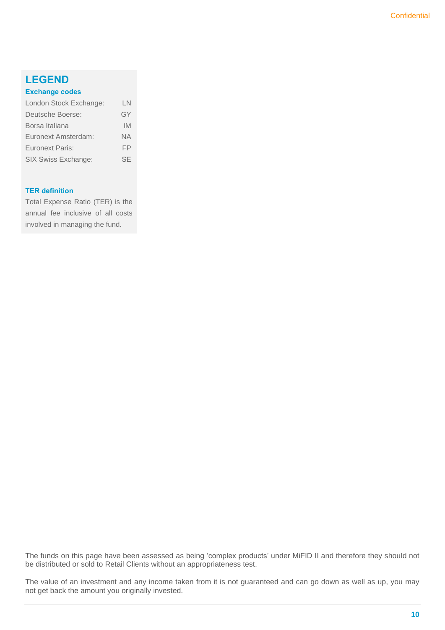### **LEGEND**

#### **Exchange codes**

| London Stock Exchange: | LN        |
|------------------------|-----------|
| Deutsche Boerse:       | GY        |
| Borsa Italiana         | IM        |
| Euronext Amsterdam:    | <b>NA</b> |
| <b>Euronext Paris:</b> | FP        |
| SIX Swiss Exchange:    | SF        |

#### **TER definition**

Total Expense Ratio (TER) is the annual fee inclusive of all costs involved in managing the fund.

The funds on this page have been assessed as being 'complex products' under MiFID II and therefore they should not be distributed or sold to Retail Clients without an appropriateness test.

The value of an investment and any income taken from it is not guaranteed and can go down as well as up, you may not get back the amount you originally invested.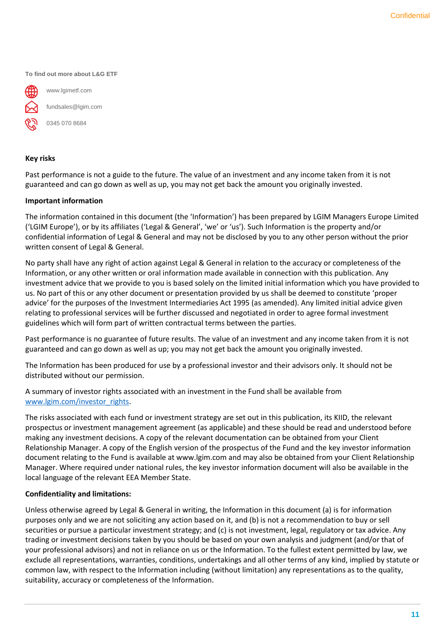**To find out more about L&G ETF**



www.lgimetf.com fundsales@lgim.com

0345 070 8684

### **Key risks**

Past performance is not a guide to the future. The value of an investment and any income taken from it is not guaranteed and can go down as well as up, you may not get back the amount you originally invested.

### **Important information**

The information contained in this document (the 'Information') has been prepared by LGIM Managers Europe Limited ('LGIM Europe'), or by its affiliates ('Legal & General', 'we' or 'us'). Such Information is the property and/or confidential information of Legal & General and may not be disclosed by you to any other person without the prior written consent of Legal & General.

No party shall have any right of action against Legal & General in relation to the accuracy or completeness of the Information, or any other written or oral information made available in connection with this publication. Any investment advice that we provide to you is based solely on the limited initial information which you have provided to us. No part of this or any other document or presentation provided by us shall be deemed to constitute 'proper advice' for the purposes of the Investment Intermediaries Act 1995 (as amended). Any limited initial advice given relating to professional services will be further discussed and negotiated in order to agree formal investment guidelines which will form part of written contractual terms between the parties.

Past performance is no guarantee of future results. The value of an investment and any income taken from it is not guaranteed and can go down as well as up; you may not get back the amount you originally invested.

The Information has been produced for use by a professional investor and their advisors only. It should not be distributed without our permission.

A summary of investor rights associated with an investment in the Fund shall be available from [www.lgim.com/investor\\_rights.](http://www.lgim.com/investor_rights)

The risks associated with each fund or investment strategy are set out in this publication, its KIID, the relevant prospectus or investment management agreement (as applicable) and these should be read and understood before making any investment decisions. A copy of the relevant documentation can be obtained from your Client Relationship Manager. A copy of the English version of the prospectus of the Fund and the key investor information document relating to the Fund is available at www.lgim.com and may also be obtained from your Client Relationship Manager. Where required under national rules, the key investor information document will also be available in the local language of the relevant EEA Member State.

#### **Confidentiality and limitations:**

Unless otherwise agreed by Legal & General in writing, the Information in this document (a) is for information purposes only and we are not soliciting any action based on it, and (b) is not a recommendation to buy or sell securities or pursue a particular investment strategy; and (c) is not investment, legal, regulatory or tax advice. Any trading or investment decisions taken by you should be based on your own analysis and judgment (and/or that of your professional advisors) and not in reliance on us or the Information. To the fullest extent permitted by law, we exclude all representations, warranties, conditions, undertakings and all other terms of any kind, implied by statute or common law, with respect to the Information including (without limitation) any representations as to the quality, suitability, accuracy or completeness of the Information.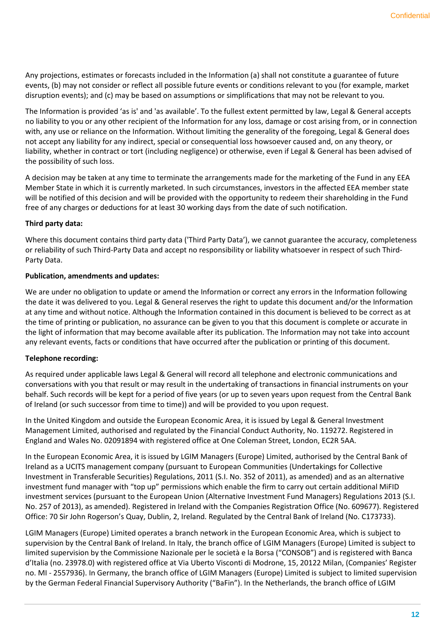Any projections, estimates or forecasts included in the Information (a) shall not constitute a guarantee of future events, (b) may not consider or reflect all possible future events or conditions relevant to you (for example, market disruption events); and (c) may be based on assumptions or simplifications that may not be relevant to you.

The Information is provided 'as is' and 'as available'. To the fullest extent permitted by law, Legal & General accepts no liability to you or any other recipient of the Information for any loss, damage or cost arising from, or in connection with, any use or reliance on the Information. Without limiting the generality of the foregoing, Legal & General does not accept any liability for any indirect, special or consequential loss howsoever caused and, on any theory, or liability, whether in contract or tort (including negligence) or otherwise, even if Legal & General has been advised of the possibility of such loss.

A decision may be taken at any time to terminate the arrangements made for the marketing of the Fund in any EEA Member State in which it is currently marketed. In such circumstances, investors in the affected EEA member state will be notified of this decision and will be provided with the opportunity to redeem their shareholding in the Fund free of any charges or deductions for at least 30 working days from the date of such notification.

#### **Third party data:**

Where this document contains third party data ('Third Party Data'), we cannot guarantee the accuracy, completeness or reliability of such Third-Party Data and accept no responsibility or liability whatsoever in respect of such Third-Party Data.

### **Publication, amendments and updates:**

We are under no obligation to update or amend the Information or correct any errors in the Information following the date it was delivered to you. Legal & General reserves the right to update this document and/or the Information at any time and without notice. Although the Information contained in this document is believed to be correct as at the time of printing or publication, no assurance can be given to you that this document is complete or accurate in the light of information that may become available after its publication. The Information may not take into account any relevant events, facts or conditions that have occurred after the publication or printing of this document.

### **Telephone recording:**

As required under applicable laws Legal & General will record all telephone and electronic communications and conversations with you that result or may result in the undertaking of transactions in financial instruments on your behalf. Such records will be kept for a period of five years (or up to seven years upon request from the Central Bank of Ireland (or such successor from time to time)) and will be provided to you upon request.

In the United Kingdom and outside the European Economic Area, it is issued by Legal & General Investment Management Limited, authorised and regulated by the Financial Conduct Authority, No. 119272. Registered in England and Wales No. 02091894 with registered office at One Coleman Street, London, EC2R 5AA.

In the European Economic Area, it is issued by LGIM Managers (Europe) Limited, authorised by the Central Bank of Ireland as a UCITS management company (pursuant to European Communities (Undertakings for Collective Investment in Transferable Securities) Regulations, 2011 (S.I. No. 352 of 2011), as amended) and as an alternative investment fund manager with "top up" permissions which enable the firm to carry out certain additional MiFID investment services (pursuant to the European Union (Alternative Investment Fund Managers) Regulations 2013 (S.I. No. 257 of 2013), as amended). Registered in Ireland with the Companies Registration Office (No. 609677). Registered Office: 70 Sir John Rogerson's Quay, Dublin, 2, Ireland. Regulated by the Central Bank of Ireland (No. C173733).

LGIM Managers (Europe) Limited operates a branch network in the European Economic Area, which is subject to supervision by the Central Bank of Ireland. In Italy, the branch office of LGIM Managers (Europe) Limited is subject to limited supervision by the Commissione Nazionale per le società e la Borsa ("CONSOB") and is registered with Banca d'Italia (no. 23978.0) with registered office at Via Uberto Visconti di Modrone, 15, 20122 Milan, (Companies' Register no. MI - 2557936). In Germany, the branch office of LGIM Managers (Europe) Limited is subject to limited supervision by the German Federal Financial Supervisory Authority ("BaFin"). In the Netherlands, the branch office of LGIM